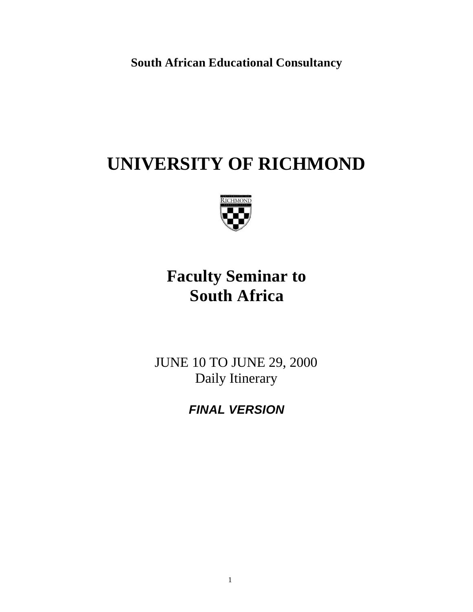**South African Educational Consultancy**

# **UNIVERSITY OF RICHMOND**



# **Faculty Seminar to South Africa**

JUNE 10 TO JUNE 29, 2000 Daily Itinerary

*FINAL VERSION*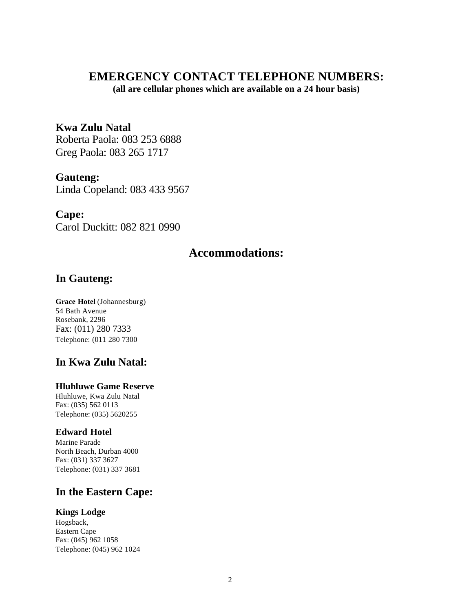### **EMERGENCY CONTACT TELEPHONE NUMBERS:**

**(all are cellular phones which are available on a 24 hour basis)**

**Kwa Zulu Natal** Roberta Paola: 083 253 6888 Greg Paola: 083 265 1717

**Gauteng:** Linda Copeland: 083 433 9567

### **Cape:**

Carol Duckitt: 082 821 0990

### **Accommodations:**

### **In Gauteng:**

**Grace Hotel** (Johannesburg) 54 Bath Avenue Rosebank, 2296 Fax: (011) 280 7333 Telephone: (011 280 7300

### **In Kwa Zulu Natal:**

#### **Hluhluwe Game Reserve**

Hluhluwe, Kwa Zulu Natal Fax: (035) 562 0113 Telephone: (035) 5620255

#### **Edward Hotel**

Marine Parade North Beach, Durban 4000 Fax: (031) 337 3627 Telephone: (031) 337 3681

### **In the Eastern Cape:**

#### **Kings Lodge**

Hogsback, Eastern Cape Fax: (045) 962 1058 Telephone: (045) 962 1024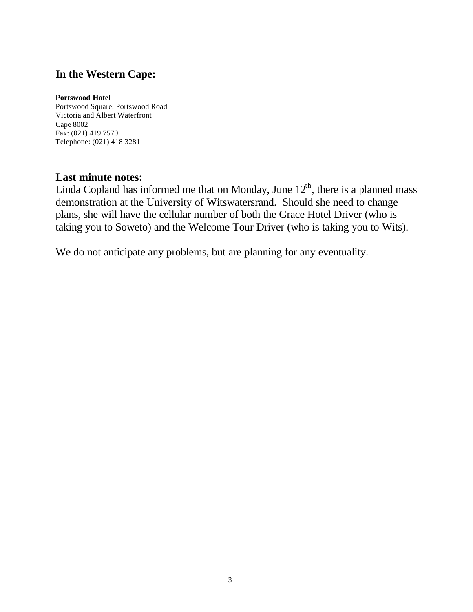### **In the Western Cape:**

#### **Portswood Hotel**

Portswood Square, Portswood Road Victoria and Albert Waterfront Cape 8002 Fax: (021) 419 7570 Telephone: (021) 418 3281

### **Last minute notes:**

Linda Copland has informed me that on Monday, June  $12<sup>th</sup>$ , there is a planned mass demonstration at the University of Witswatersrand. Should she need to change plans, she will have the cellular number of both the Grace Hotel Driver (who is taking you to Soweto) and the Welcome Tour Driver (who is taking you to Wits).

We do not anticipate any problems, but are planning for any eventuality.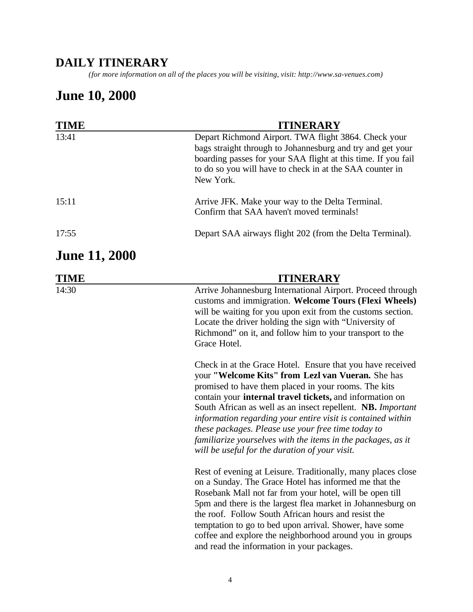### **DAILY ITINERARY**

*(for more information on all of the places you will be visiting, visit: http://www.sa-venues.com)*

## **June 10, 2000**

| TIME                 | <b>ITINERARY</b>                                                                                                                                                                                                                                                                                                                                                                                                                                                             |
|----------------------|------------------------------------------------------------------------------------------------------------------------------------------------------------------------------------------------------------------------------------------------------------------------------------------------------------------------------------------------------------------------------------------------------------------------------------------------------------------------------|
| 13:41                | Depart Richmond Airport. TWA flight 3864. Check your<br>bags straight through to Johannesburg and try and get your<br>boarding passes for your SAA flight at this time. If you fail<br>to do so you will have to check in at the SAA counter in<br>New York.                                                                                                                                                                                                                 |
| 15:11                | Arrive JFK. Make your way to the Delta Terminal.<br>Confirm that SAA haven't moved terminals!                                                                                                                                                                                                                                                                                                                                                                                |
| 17:55                | Depart SAA airways flight 202 (from the Delta Terminal).                                                                                                                                                                                                                                                                                                                                                                                                                     |
| <b>June 11, 2000</b> |                                                                                                                                                                                                                                                                                                                                                                                                                                                                              |
| TIME                 | <b>ITINERARY</b>                                                                                                                                                                                                                                                                                                                                                                                                                                                             |
| 14:30                | Arrive Johannesburg International Airport. Proceed through<br>customs and immigration. Welcome Tours (Flexi Wheels)<br>will be waiting for you upon exit from the customs section.<br>Locate the driver holding the sign with "University of<br>Richmond" on it, and follow him to your transport to the<br>Grace Hotel.<br>Check in at the Grace Hotel. Ensure that you have received<br>your "Welcome Kits" from Lezl van Vueran. She has                                  |
|                      | promised to have them placed in your rooms. The kits<br>contain your internal travel tickets, and information on<br>South African as well as an insect repellent. NB. Important<br>information regarding your entire visit is contained within<br>these packages. Please use your free time today to<br>familiarize yourselves with the items in the packages, as it<br>will be useful for the duration of your visit.                                                       |
|                      | Rest of evening at Leisure. Traditionally, many places close<br>on a Sunday. The Grace Hotel has informed me that the<br>Rosebank Mall not far from your hotel, will be open till<br>5pm and there is the largest flea market in Johannesburg on<br>the roof. Follow South African hours and resist the<br>temptation to go to bed upon arrival. Shower, have some<br>coffee and explore the neighborhood around you in groups<br>and read the information in your packages. |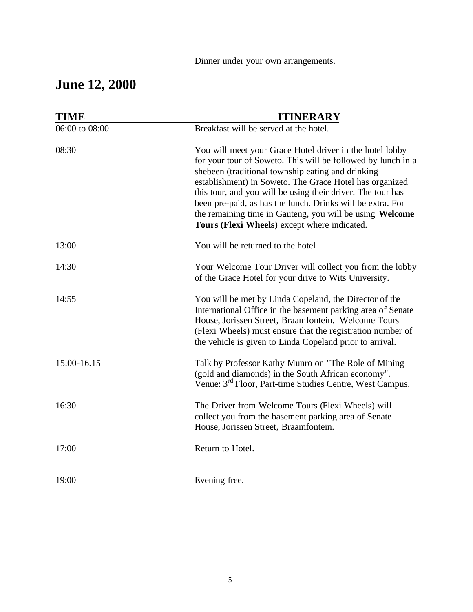Dinner under your own arrangements.

# **June 12, 2000**

| <b>TIME</b>    | <b>ITINERARY</b>                                                                                                                                                                                                                                                                                                                                                                                                                                                                  |
|----------------|-----------------------------------------------------------------------------------------------------------------------------------------------------------------------------------------------------------------------------------------------------------------------------------------------------------------------------------------------------------------------------------------------------------------------------------------------------------------------------------|
| 06:00 to 08:00 | Breakfast will be served at the hotel.                                                                                                                                                                                                                                                                                                                                                                                                                                            |
| 08:30          | You will meet your Grace Hotel driver in the hotel lobby<br>for your tour of Soweto. This will be followed by lunch in a<br>shebeen (traditional township eating and drinking<br>establishment) in Soweto. The Grace Hotel has organized<br>this tour, and you will be using their driver. The tour has<br>been pre-paid, as has the lunch. Drinks will be extra. For<br>the remaining time in Gauteng, you will be using Welcome<br>Tours (Flexi Wheels) except where indicated. |
| 13:00          | You will be returned to the hotel                                                                                                                                                                                                                                                                                                                                                                                                                                                 |
| 14:30          | Your Welcome Tour Driver will collect you from the lobby<br>of the Grace Hotel for your drive to Wits University.                                                                                                                                                                                                                                                                                                                                                                 |
| 14:55          | You will be met by Linda Copeland, the Director of the<br>International Office in the basement parking area of Senate<br>House, Jorissen Street, Braamfontein. Welcome Tours<br>(Flexi Wheels) must ensure that the registration number of<br>the vehicle is given to Linda Copeland prior to arrival.                                                                                                                                                                            |
| 15.00-16.15    | Talk by Professor Kathy Munro on "The Role of Mining<br>(gold and diamonds) in the South African economy".<br>Venue: 3 <sup>rd</sup> Floor, Part-time Studies Centre, West Campus.                                                                                                                                                                                                                                                                                                |
| 16:30          | The Driver from Welcome Tours (Flexi Wheels) will<br>collect you from the basement parking area of Senate<br>House, Jorissen Street, Braamfontein.                                                                                                                                                                                                                                                                                                                                |
| 17:00          | Return to Hotel.                                                                                                                                                                                                                                                                                                                                                                                                                                                                  |
| 19:00          | Evening free.                                                                                                                                                                                                                                                                                                                                                                                                                                                                     |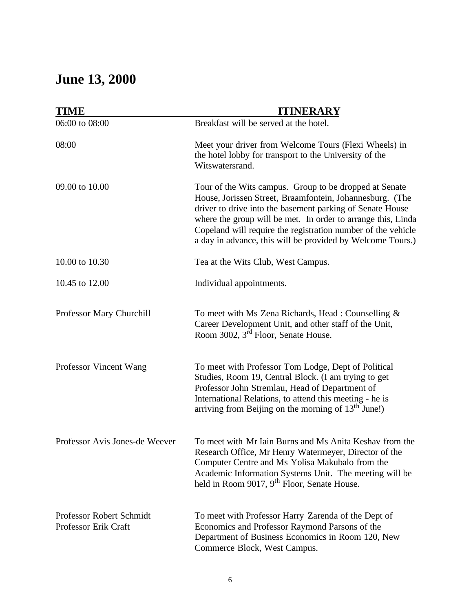# **June 13, 2000**

| <b>TIME</b>                                      | <b>ITINERARY</b>                                                                                                                                                                                                                                                                                                                                                              |
|--------------------------------------------------|-------------------------------------------------------------------------------------------------------------------------------------------------------------------------------------------------------------------------------------------------------------------------------------------------------------------------------------------------------------------------------|
| 06:00 to 08:00                                   | Breakfast will be served at the hotel.                                                                                                                                                                                                                                                                                                                                        |
| 08:00                                            | Meet your driver from Welcome Tours (Flexi Wheels) in<br>the hotel lobby for transport to the University of the<br>Witswatersrand.                                                                                                                                                                                                                                            |
| 09.00 to 10.00                                   | Tour of the Wits campus. Group to be dropped at Senate<br>House, Jorissen Street, Braamfontein, Johannesburg. (The<br>driver to drive into the basement parking of Senate House<br>where the group will be met. In order to arrange this, Linda<br>Copeland will require the registration number of the vehicle<br>a day in advance, this will be provided by Welcome Tours.) |
| 10.00 to 10.30                                   | Tea at the Wits Club, West Campus.                                                                                                                                                                                                                                                                                                                                            |
| 10.45 to 12.00                                   | Individual appointments.                                                                                                                                                                                                                                                                                                                                                      |
| Professor Mary Churchill                         | To meet with Ms Zena Richards, Head: Counselling &<br>Career Development Unit, and other staff of the Unit,<br>Room 3002, 3 <sup>rd</sup> Floor, Senate House.                                                                                                                                                                                                                |
| Professor Vincent Wang                           | To meet with Professor Tom Lodge, Dept of Political<br>Studies, Room 19, Central Block. (I am trying to get<br>Professor John Stremlau, Head of Department of<br>International Relations, to attend this meeting - he is<br>arriving from Beijing on the morning of $13th$ June!)                                                                                             |
| Professor Avis Jones-de Weever                   | To meet with Mr Iain Burns and Ms Anita Keshav from the<br>Research Office, Mr Henry Watermeyer, Director of the<br>Computer Centre and Ms Yolisa Makubalo from the<br>Academic Information Systems Unit. The meeting will be<br>held in Room 9017, 9 <sup>th</sup> Floor, Senate House.                                                                                      |
| Professor Robert Schmidt<br>Professor Erik Craft | To meet with Professor Harry Zarenda of the Dept of<br>Economics and Professor Raymond Parsons of the<br>Department of Business Economics in Room 120, New<br>Commerce Block, West Campus.                                                                                                                                                                                    |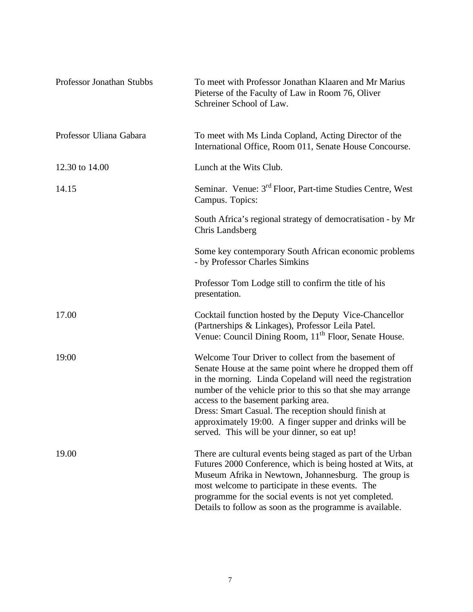| Professor Jonathan Stubbs | To meet with Professor Jonathan Klaaren and Mr Marius<br>Pieterse of the Faculty of Law in Room 76, Oliver<br>Schreiner School of Law.                                                                                                                                                                                                                                                                                                                |
|---------------------------|-------------------------------------------------------------------------------------------------------------------------------------------------------------------------------------------------------------------------------------------------------------------------------------------------------------------------------------------------------------------------------------------------------------------------------------------------------|
| Professor Uliana Gabara   | To meet with Ms Linda Copland, Acting Director of the<br>International Office, Room 011, Senate House Concourse.                                                                                                                                                                                                                                                                                                                                      |
| 12.30 to 14.00            | Lunch at the Wits Club.                                                                                                                                                                                                                                                                                                                                                                                                                               |
| 14.15                     | Seminar. Venue: 3 <sup>rd</sup> Floor, Part-time Studies Centre, West<br>Campus. Topics:                                                                                                                                                                                                                                                                                                                                                              |
|                           | South Africa's regional strategy of democratisation - by Mr<br>Chris Landsberg                                                                                                                                                                                                                                                                                                                                                                        |
|                           | Some key contemporary South African economic problems<br>- by Professor Charles Simkins                                                                                                                                                                                                                                                                                                                                                               |
|                           | Professor Tom Lodge still to confirm the title of his<br>presentation.                                                                                                                                                                                                                                                                                                                                                                                |
| 17.00                     | Cocktail function hosted by the Deputy Vice-Chancellor<br>(Partnerships & Linkages), Professor Leila Patel.<br>Venue: Council Dining Room, 11 <sup>th</sup> Floor, Senate House.                                                                                                                                                                                                                                                                      |
| 19:00                     | Welcome Tour Driver to collect from the basement of<br>Senate House at the same point where he dropped them off<br>in the morning. Linda Copeland will need the registration<br>number of the vehicle prior to this so that she may arrange<br>access to the basement parking area.<br>Dress: Smart Casual. The reception should finish at<br>approximately 19:00. A finger supper and drinks will be<br>served. This will be your dinner, so eat up! |
| 19.00                     | There are cultural events being staged as part of the Urban<br>Futures 2000 Conference, which is being hosted at Wits, at<br>Museum Afrika in Newtown, Johannesburg. The group is<br>most welcome to participate in these events. The<br>programme for the social events is not yet completed.<br>Details to follow as soon as the programme is available.                                                                                            |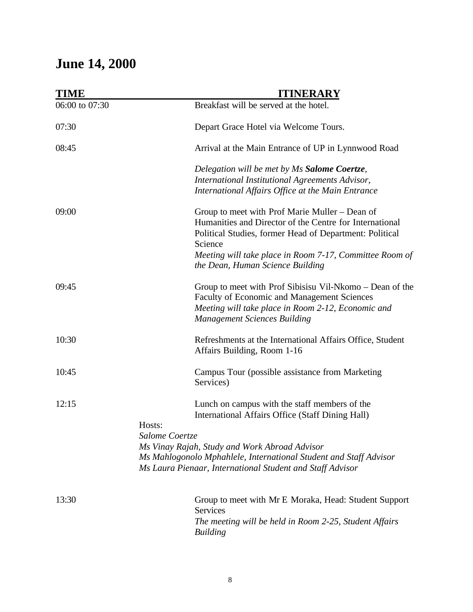# **June 14, 2000**

| Arrival at the Main Entrance of UP in Lynnwood Road                                                                                                                    |
|------------------------------------------------------------------------------------------------------------------------------------------------------------------------|
| Delegation will be met by Ms Salome Coertze,<br>International Institutional Agreements Advisor,<br>International Affairs Office at the Main Entrance                   |
| Group to meet with Prof Marie Muller – Dean of<br>Humanities and Director of the Centre for International<br>Political Studies, former Head of Department: Political   |
| Meeting will take place in Room 7-17, Committee Room of                                                                                                                |
| Group to meet with Prof Sibisisu Vil-Nkomo – Dean of the<br>Faculty of Economic and Management Sciences<br>Meeting will take place in Room 2-12, Economic and          |
| Refreshments at the International Affairs Office, Student                                                                                                              |
| Campus Tour (possible assistance from Marketing                                                                                                                        |
| Lunch on campus with the staff members of the<br>International Affairs Office (Staff Dining Hall)<br>Ms Mahlogonolo Mphahlele, International Student and Staff Advisor |
|                                                                                                                                                                        |
| Group to meet with Mr E Moraka, Head: Student Support<br>The meeting will be held in Room 2-25, Student Affairs                                                        |
|                                                                                                                                                                        |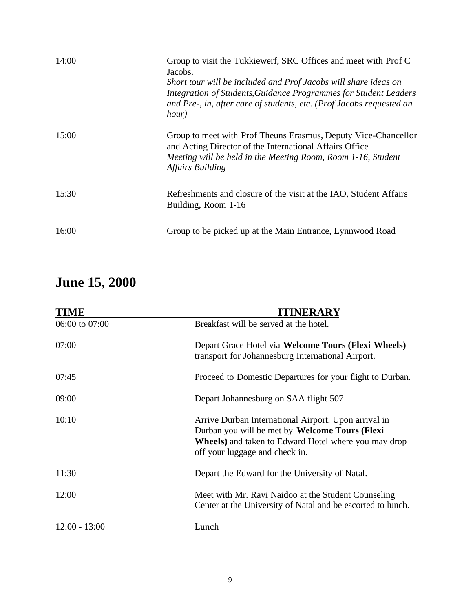| 14:00 | Group to visit the Tukkiewerf, SRC Offices and meet with Prof C<br>Jacobs.<br>Short tour will be included and Prof Jacobs will share ideas on<br>Integration of Students, Guidance Programmes for Student Leaders<br>and Pre-, in, after care of students, etc. (Prof Jacobs requested an<br>hour) |
|-------|----------------------------------------------------------------------------------------------------------------------------------------------------------------------------------------------------------------------------------------------------------------------------------------------------|
| 15:00 | Group to meet with Prof Theuns Erasmus, Deputy Vice-Chancellor<br>and Acting Director of the International Affairs Office<br>Meeting will be held in the Meeting Room, Room 1-16, Student<br><b>Affairs Building</b>                                                                               |
| 15:30 | Refreshments and closure of the visit at the IAO, Student Affairs<br>Building, Room 1-16                                                                                                                                                                                                           |
| 16:00 | Group to be picked up at the Main Entrance, Lynnwood Road                                                                                                                                                                                                                                          |

# **June 15, 2000**

| TIME            | <b>ITINERARY</b>                                                                                                                                                                                         |
|-----------------|----------------------------------------------------------------------------------------------------------------------------------------------------------------------------------------------------------|
| 06:00 to 07:00  | Breakfast will be served at the hotel.                                                                                                                                                                   |
| 07:00           | Depart Grace Hotel via Welcome Tours (Flexi Wheels)<br>transport for Johannesburg International Airport.                                                                                                 |
| 07:45           | Proceed to Domestic Departures for your flight to Durban.                                                                                                                                                |
| 09:00           | Depart Johannesburg on SAA flight 507                                                                                                                                                                    |
| 10:10           | Arrive Durban International Airport. Upon arrival in<br>Durban you will be met by Welcome Tours (Flexi<br><b>Wheels</b> ) and taken to Edward Hotel where you may drop<br>off your luggage and check in. |
| 11:30           | Depart the Edward for the University of Natal.                                                                                                                                                           |
| 12:00           | Meet with Mr. Ravi Naidoo at the Student Counseling<br>Center at the University of Natal and be escorted to lunch.                                                                                       |
| $12:00 - 13:00$ | Lunch                                                                                                                                                                                                    |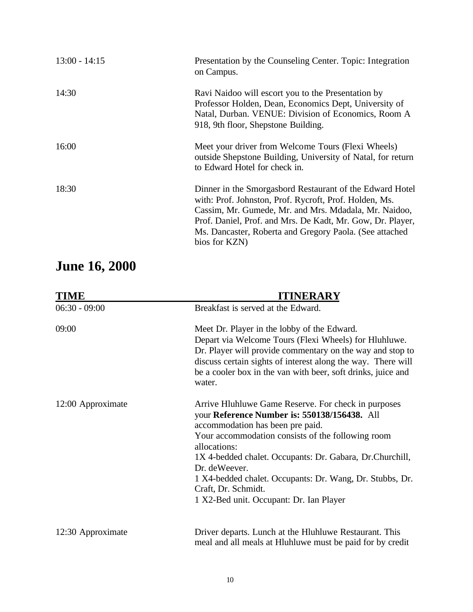| $13:00 - 14:15$ | Presentation by the Counseling Center. Topic: Integration<br>on Campus.                                                                                                                                                                                                                                               |
|-----------------|-----------------------------------------------------------------------------------------------------------------------------------------------------------------------------------------------------------------------------------------------------------------------------------------------------------------------|
| 14:30           | Ravi Naidoo will escort you to the Presentation by<br>Professor Holden, Dean, Economics Dept, University of<br>Natal, Durban. VENUE: Division of Economics, Room A<br>918, 9th floor, Shepstone Building.                                                                                                             |
| 16:00           | Meet your driver from Welcome Tours (Flexi Wheels)<br>outside Shepstone Building, University of Natal, for return<br>to Edward Hotel for check in.                                                                                                                                                                    |
| 18:30           | Dinner in the Smorgasbord Restaurant of the Edward Hotel<br>with: Prof. Johnston, Prof. Rycroft, Prof. Holden, Ms.<br>Cassim, Mr. Gumede, Mr. and Mrs. Mdadala, Mr. Naidoo,<br>Prof. Daniel, Prof. and Mrs. De Kadt, Mr. Gow, Dr. Player,<br>Ms. Dancaster, Roberta and Gregory Paola. (See attached<br>bios for KZN) |

# **June 16, 2000**

| <b>TIME</b>       | <b>ITINERARY</b>                                                                                                                                                                                                                                                                                                                                                                                                        |
|-------------------|-------------------------------------------------------------------------------------------------------------------------------------------------------------------------------------------------------------------------------------------------------------------------------------------------------------------------------------------------------------------------------------------------------------------------|
| $06:30 - 09:00$   | Breakfast is served at the Edward.                                                                                                                                                                                                                                                                                                                                                                                      |
| 09:00             | Meet Dr. Player in the lobby of the Edward.<br>Depart via Welcome Tours (Flexi Wheels) for Hluhluwe.<br>Dr. Player will provide commentary on the way and stop to<br>discuss certain sights of interest along the way. There will<br>be a cooler box in the van with beer, soft drinks, juice and<br>water.                                                                                                             |
| 12:00 Approximate | Arrive Hluhluwe Game Reserve. For check in purposes<br>your Reference Number is: 550138/156438. All<br>accommodation has been pre paid.<br>Your accommodation consists of the following room<br>allocations:<br>1X 4-bedded chalet. Occupants: Dr. Gabara, Dr.Churchill,<br>Dr. deWeever.<br>1 X4-bedded chalet. Occupants: Dr. Wang, Dr. Stubbs, Dr.<br>Craft, Dr. Schmidt.<br>1 X2-Bed unit. Occupant: Dr. Ian Player |
| 12:30 Approximate | Driver departs. Lunch at the Hluhluwe Restaurant. This<br>meal and all meals at Hluhluwe must be paid for by credit                                                                                                                                                                                                                                                                                                     |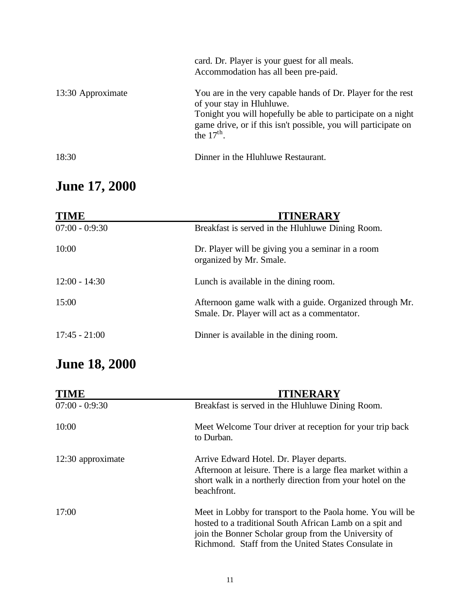|                   | card. Dr. Player is your guest for all meals.<br>Accommodation has all been pre-paid.                                                                                                                                                       |
|-------------------|---------------------------------------------------------------------------------------------------------------------------------------------------------------------------------------------------------------------------------------------|
| 13:30 Approximate | You are in the very capable hands of Dr. Player for the rest<br>of your stay in Hluhluwe.<br>Tonight you will hopefully be able to participate on a night<br>game drive, or if this isn't possible, you will participate on<br>the $17th$ . |
| 18:30             | Dinner in the Hluhluwe Restaurant.                                                                                                                                                                                                          |

# **June 17, 2000**

| <b>TIME</b>      | <b>ITINERARY</b>                                                                                        |
|------------------|---------------------------------------------------------------------------------------------------------|
| $07:00 - 0:9:30$ | Breakfast is served in the Hluhluwe Dining Room.                                                        |
| 10:00            | Dr. Player will be giving you a seminar in a room<br>organized by Mr. Smale.                            |
| $12:00 - 14:30$  | Lunch is available in the dining room.                                                                  |
| 15:00            | Afternoon game walk with a guide. Organized through Mr.<br>Smale. Dr. Player will act as a commentator. |
| $17:45 - 21:00$  | Dinner is available in the dining room.                                                                 |

# **June 18, 2000**

| <b>TIME</b>       | <b>ITINERARY</b>                                                                                                                                                                                                                      |
|-------------------|---------------------------------------------------------------------------------------------------------------------------------------------------------------------------------------------------------------------------------------|
| $07:00 - 0:9:30$  | Breakfast is served in the Hluhluwe Dining Room.                                                                                                                                                                                      |
| 10:00             | Meet Welcome Tour driver at reception for your trip back<br>to Durban.                                                                                                                                                                |
| 12:30 approximate | Arrive Edward Hotel. Dr. Player departs.<br>Afternoon at leisure. There is a large flea market within a<br>short walk in a northerly direction from your hotel on the<br>beachfront.                                                  |
| 17:00             | Meet in Lobby for transport to the Paola home. You will be<br>hosted to a traditional South African Lamb on a spit and<br>join the Bonner Scholar group from the University of<br>Richmond. Staff from the United States Consulate in |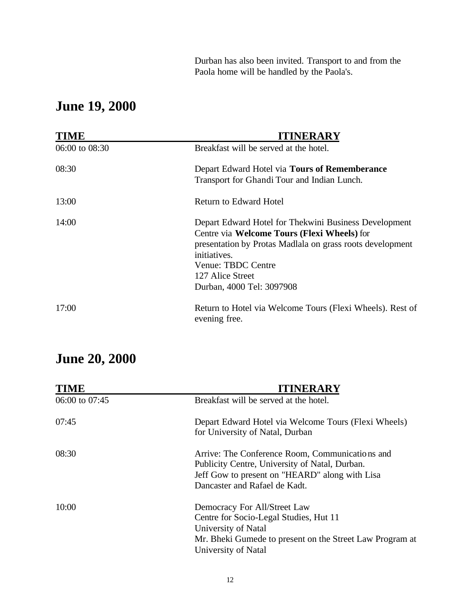Durban has also been invited. Transport to and from the Paola home will be handled by the Paola's.

## **June 19, 2000**

| <b>TIME</b>    | <b>ITINERARY</b>                                                                                                                                                                                                                                         |
|----------------|----------------------------------------------------------------------------------------------------------------------------------------------------------------------------------------------------------------------------------------------------------|
| 06:00 to 08:30 | Breakfast will be served at the hotel.                                                                                                                                                                                                                   |
| 08:30          | Depart Edward Hotel via Tours of Rememberance<br>Transport for Ghandi Tour and Indian Lunch.                                                                                                                                                             |
| 13:00          | Return to Edward Hotel                                                                                                                                                                                                                                   |
| 14:00          | Depart Edward Hotel for Thekwini Business Development<br>Centre via Welcome Tours (Flexi Wheels) for<br>presentation by Protas Madlala on grass roots development<br>initiatives.<br>Venue: TBDC Centre<br>127 Alice Street<br>Durban, 4000 Tel: 3097908 |
| 17:00          | Return to Hotel via Welcome Tours (Flexi Wheels). Rest of<br>evening free.                                                                                                                                                                               |

## **June 20, 2000**

| <b>TIME</b>    | <b>ITINERARY</b>                                                                                                                                                                     |
|----------------|--------------------------------------------------------------------------------------------------------------------------------------------------------------------------------------|
| 06:00 to 07:45 | Breakfast will be served at the hotel.                                                                                                                                               |
| 07:45          | Depart Edward Hotel via Welcome Tours (Flexi Wheels)<br>for University of Natal, Durban                                                                                              |
| 08:30          | Arrive: The Conference Room, Communications and<br>Publicity Centre, University of Natal, Durban.<br>Jeff Gow to present on "HEARD" along with Lisa<br>Dancaster and Rafael de Kadt. |
| 10:00          | Democracy For All/Street Law<br>Centre for Socio-Legal Studies, Hut 11<br>University of Natal<br>Mr. Bheki Gumede to present on the Street Law Program at<br>University of Natal     |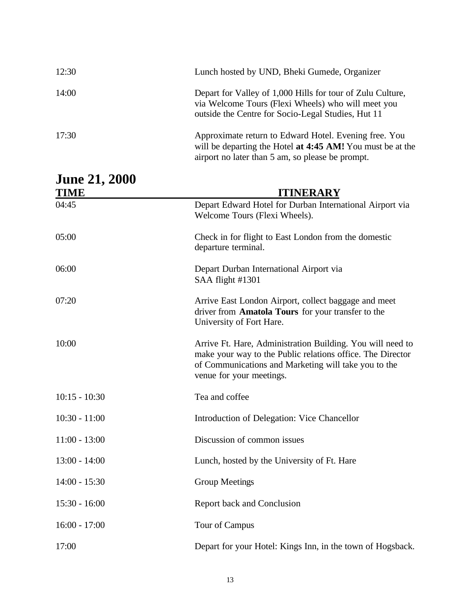| 12:30                               | Lunch hosted by UND, Bheki Gumede, Organizer                                                                                                                                                                 |
|-------------------------------------|--------------------------------------------------------------------------------------------------------------------------------------------------------------------------------------------------------------|
| 14:00                               | Depart for Valley of 1,000 Hills for tour of Zulu Culture,<br>via Welcome Tours (Flexi Wheels) who will meet you<br>outside the Centre for Socio-Legal Studies, Hut 11                                       |
| 17:30                               | Approximate return to Edward Hotel. Evening free. You<br>will be departing the Hotel at 4:45 AM! You must be at the<br>airport no later than 5 am, so please be prompt.                                      |
| <b>June 21, 2000</b><br><b>TIME</b> | <b>ITINERARY</b>                                                                                                                                                                                             |
| 04:45                               | Depart Edward Hotel for Durban International Airport via<br>Welcome Tours (Flexi Wheels).                                                                                                                    |
| 05:00                               | Check in for flight to East London from the domestic<br>departure terminal.                                                                                                                                  |
| 06:00                               | Depart Durban International Airport via<br>SAA flight #1301                                                                                                                                                  |
| 07:20                               | Arrive East London Airport, collect baggage and meet<br>driver from Amatola Tours for your transfer to the<br>University of Fort Hare.                                                                       |
| 10:00                               | Arrive Ft. Hare, Administration Building. You will need to<br>make your way to the Public relations office. The Director<br>of Communications and Marketing will take you to the<br>venue for your meetings. |
| $10:15 - 10:30$                     | Tea and coffee                                                                                                                                                                                               |
| $10:30 - 11:00$                     | Introduction of Delegation: Vice Chancellor                                                                                                                                                                  |
| $11:00 - 13:00$                     | Discussion of common issues                                                                                                                                                                                  |
| $13:00 - 14:00$                     | Lunch, hosted by the University of Ft. Hare                                                                                                                                                                  |
| $14:00 - 15:30$                     | <b>Group Meetings</b>                                                                                                                                                                                        |
| $15:30 - 16:00$                     | Report back and Conclusion                                                                                                                                                                                   |
| $16:00 - 17:00$                     | Tour of Campus                                                                                                                                                                                               |
| 17:00                               | Depart for your Hotel: Kings Inn, in the town of Hogsback.                                                                                                                                                   |

### 13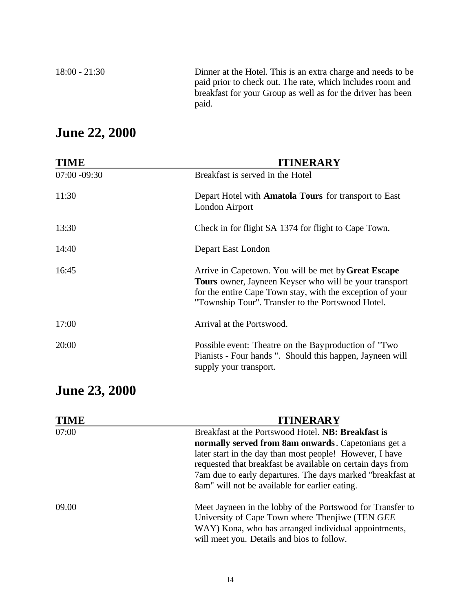18:00 - 21:30 Dinner at the Hotel. This is an extra charge and needs to be paid prior to check out. The rate, which includes room and breakfast for your Group as well as for the driver has been paid.

## **June 22, 2000**

| <b>TIME</b>     | <b>ITINERARY</b>                                                                                                                                                                                                                              |
|-----------------|-----------------------------------------------------------------------------------------------------------------------------------------------------------------------------------------------------------------------------------------------|
| $07:00 - 09:30$ | Breakfast is served in the Hotel                                                                                                                                                                                                              |
| 11:30           | Depart Hotel with <b>Amatola Tours</b> for transport to East<br>London Airport                                                                                                                                                                |
| 13:30           | Check in for flight SA 1374 for flight to Cape Town.                                                                                                                                                                                          |
| 14:40           | Depart East London                                                                                                                                                                                                                            |
| 16:45           | Arrive in Capetown. You will be met by <b>Great Escape</b><br><b>Tours</b> owner, Jayneen Keyser who will be your transport<br>for the entire Cape Town stay, with the exception of your<br>"Township Tour". Transfer to the Portswood Hotel. |
| 17:00           | Arrival at the Portswood.                                                                                                                                                                                                                     |
| 20:00           | Possible event: Theatre on the Bayproduction of "Two<br>Pianists - Four hands ". Should this happen, Jayneen will<br>supply your transport.                                                                                                   |

## **June 23, 2000**

| <b>TIME</b> | <b>ITINERARY</b>                                                                                                                                                                                                                       |
|-------------|----------------------------------------------------------------------------------------------------------------------------------------------------------------------------------------------------------------------------------------|
| 07:00       | Breakfast at the Portswood Hotel. NB: Breakfast is                                                                                                                                                                                     |
|             | normally served from 8am onwards. Capetonians get a                                                                                                                                                                                    |
|             | later start in the day than most people! However, I have<br>requested that breakfast be available on certain days from<br>7am due to early departures. The days marked "breakfast at<br>8am" will not be available for earlier eating. |
| 09.00       | Meet Jayneen in the lobby of the Portswood for Transfer to<br>University of Cape Town where Thenjiwe (TEN GEE)<br>WAY) Kona, who has arranged individual appointments,<br>will meet you. Details and bios to follow.                   |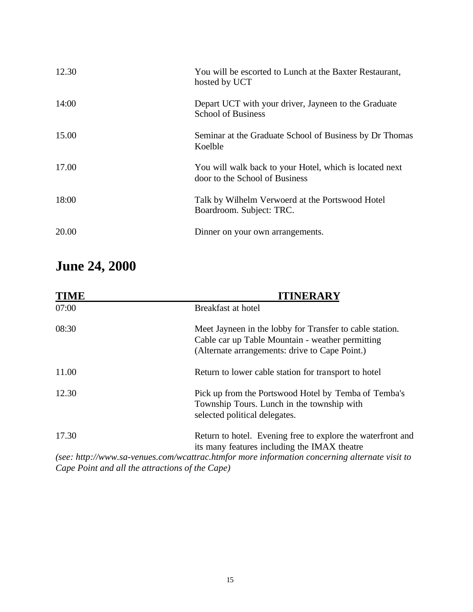| 12.30 | You will be escorted to Lunch at the Baxter Restaurant,<br>hosted by UCT                  |
|-------|-------------------------------------------------------------------------------------------|
| 14:00 | Depart UCT with your driver, Jayneen to the Graduate<br><b>School of Business</b>         |
| 15.00 | Seminar at the Graduate School of Business by Dr Thomas<br>Koelble                        |
| 17.00 | You will walk back to your Hotel, which is located next<br>door to the School of Business |
| 18:00 | Talk by Wilhelm Verwoerd at the Portswood Hotel<br>Boardroom. Subject: TRC.               |
| 20.00 | Dinner on your own arrangements.                                                          |

## **June 24, 2000**

| <b>TIME</b> | <b>ITINERARY</b>                                                                                                                                               |
|-------------|----------------------------------------------------------------------------------------------------------------------------------------------------------------|
| 07:00       | Breakfast at hotel                                                                                                                                             |
| 08:30       | Meet Jayneen in the lobby for Transfer to cable station.<br>Cable car up Table Mountain - weather permitting<br>(Alternate arrangements: drive to Cape Point.) |
| 11.00       | Return to lower cable station for transport to hotel                                                                                                           |
| 12.30       | Pick up from the Portswood Hotel by Temba of Temba's<br>Township Tours. Lunch in the township with<br>selected political delegates.                            |
| 17.30       | Return to hotel. Evening free to explore the waterfront and<br>its many features including the IMAX theatre                                                    |
|             | (see: http://www.sa-venues.com/wcattrac.htmfor more information concerning alternate visit to                                                                  |
|             | Cape Point and all the attractions of the Cape)                                                                                                                |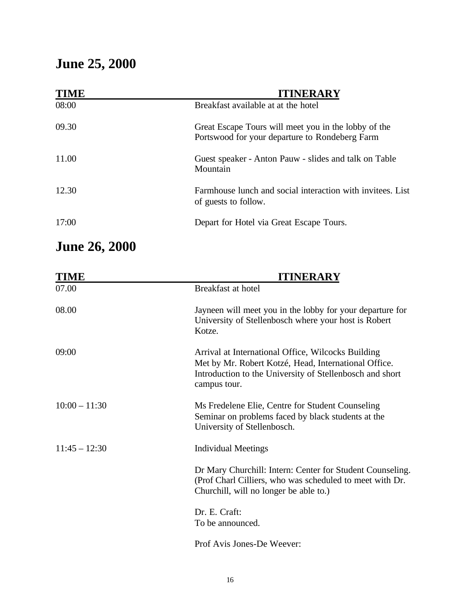# **June 25, 2000**

| <b>TIME</b> | <b>ITINERARY</b>                                                                                       |
|-------------|--------------------------------------------------------------------------------------------------------|
| 08:00       | Breakfast available at at the hotel                                                                    |
| 09.30       | Great Escape Tours will meet you in the lobby of the<br>Portswood for your departure to Rondeberg Farm |
| 11.00       | Guest speaker - Anton Pauw - slides and talk on Table<br>Mountain                                      |
| 12.30       | Farmhouse lunch and social interaction with invitees. List<br>of guests to follow.                     |
| 17:00       | Depart for Hotel via Great Escape Tours.                                                               |

# **June 26, 2000**

| <b>TIME</b>     | <b>ITINERARY</b>                                                                                                                                                                       |
|-----------------|----------------------------------------------------------------------------------------------------------------------------------------------------------------------------------------|
| 07.00           | Breakfast at hotel                                                                                                                                                                     |
| 08.00           | Jayneen will meet you in the lobby for your departure for<br>University of Stellenbosch where your host is Robert<br>Kotze.                                                            |
| 09:00           | Arrival at International Office, Wilcocks Building<br>Met by Mr. Robert Kotzé, Head, International Office.<br>Introduction to the University of Stellenbosch and short<br>campus tour. |
| $10:00 - 11:30$ | Ms Fredelene Elie, Centre for Student Counseling<br>Seminar on problems faced by black students at the<br>University of Stellenbosch.                                                  |
| $11:45 - 12:30$ | <b>Individual Meetings</b>                                                                                                                                                             |
|                 | Dr Mary Churchill: Intern: Center for Student Counseling.<br>(Prof Charl Cilliers, who was scheduled to meet with Dr.<br>Churchill, will no longer be able to.)                        |
|                 | Dr. E. Craft:<br>To be announced.                                                                                                                                                      |
|                 | Prof Avis Jones-De Weever:                                                                                                                                                             |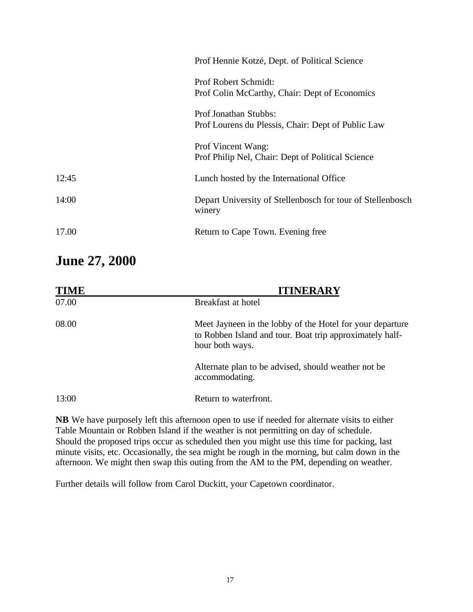| Depart University of Stellenbosch for tour of Stellenbosch |
|------------------------------------------------------------|
|                                                            |
|                                                            |

## **June 27, 2000**

| <b>TIME</b> | <b>ITINERARY</b>                                                                                                                         |
|-------------|------------------------------------------------------------------------------------------------------------------------------------------|
| 07.00       | Breakfast at hotel                                                                                                                       |
| 08.00       | Meet Jayneen in the lobby of the Hotel for your departure<br>to Robben Island and tour. Boat trip approximately half-<br>hour both ways. |
|             | Alternate plan to be advised, should weather not be<br>accommodating.                                                                    |
| 13:00       | Return to waterfront.                                                                                                                    |

**NB** We have purposely left this afternoon open to use if needed for alternate visits to either Table Mountain or Robben Island if the weather is not permitting on day of schedule. Should the proposed trips occur as scheduled then you might use this time for packing, last minute visits, etc. Occasionally, the sea might be rough in the morning, but calm down in the afternoon. We might then swap this outing from the AM to the PM, depending on weather.

Further details will follow from Carol Duckitt, your Capetown coordinator.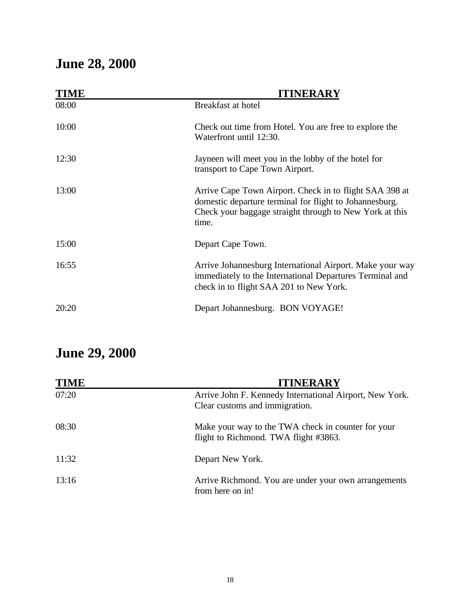# **June 28, 2000**

| <b>TIME</b> | <b>ITINERARY</b>                                                                                                                                                                       |
|-------------|----------------------------------------------------------------------------------------------------------------------------------------------------------------------------------------|
| 08:00       | Breakfast at hotel                                                                                                                                                                     |
| 10:00       | Check out time from Hotel. You are free to explore the<br>Waterfront until 12:30.                                                                                                      |
| 12:30       | Jayneen will meet you in the lobby of the hotel for<br>transport to Cape Town Airport.                                                                                                 |
| 13:00       | Arrive Cape Town Airport. Check in to flight SAA 398 at<br>domestic departure terminal for flight to Johannesburg.<br>Check your baggage straight through to New York at this<br>time. |
| 15:00       | Depart Cape Town.                                                                                                                                                                      |
| 16:55       | Arrive Johannesburg International Airport. Make your way<br>immediately to the International Departures Terminal and<br>check in to flight SAA 201 to New York.                        |
| 20:20       | Depart Johannesburg. BON VOYAGE!                                                                                                                                                       |

# **June 29, 2000**

| <b>TIME</b> | <b>ITINERARY</b>                                                                            |
|-------------|---------------------------------------------------------------------------------------------|
| 07:20       | Arrive John F. Kennedy International Airport, New York.<br>Clear customs and immigration.   |
| 08:30       | Make your way to the TWA check in counter for your<br>flight to Richmond. TWA flight #3863. |
| 11:32       | Depart New York.                                                                            |
| 13:16       | Arrive Richmond. You are under your own arrangements<br>from here on in!                    |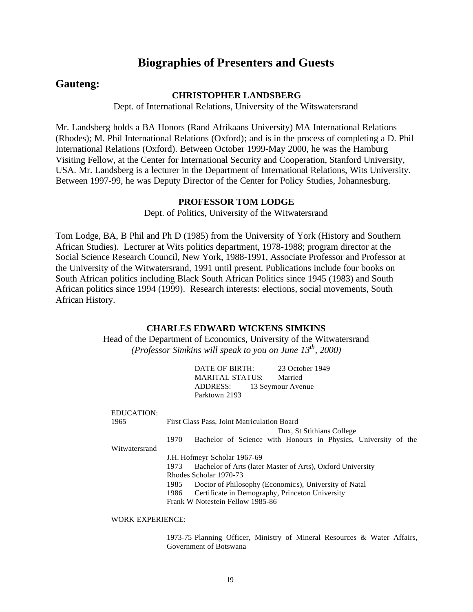### **Biographies of Presenters and Guests**

### **Gauteng:**

#### **CHRISTOPHER LANDSBERG**

Dept. of International Relations, University of the Witswatersrand

Mr. Landsberg holds a BA Honors (Rand Afrikaans University) MA International Relations (Rhodes); M. Phil International Relations (Oxford); and is in the process of completing a D. Phil International Relations (Oxford). Between October 1999-May 2000, he was the Hamburg Visiting Fellow, at the Center for International Security and Cooperation, Stanford University, USA. Mr. Landsberg is a lecturer in the Department of International Relations, Wits University. Between 1997-99, he was Deputy Director of the Center for Policy Studies, Johannesburg.

#### **PROFESSOR TOM LODGE**

Dept. of Politics, University of the Witwatersrand

Tom Lodge, BA, B Phil and Ph D (1985) from the University of York (History and Southern African Studies). Lecturer at Wits politics department, 1978-1988; program director at the Social Science Research Council, New York, 1988-1991, Associate Professor and Professor at the University of the Witwatersrand, 1991 until present. Publications include four books on South African politics including Black South African Politics since 1945 (1983) and South African politics since 1994 (1999). Research interests: elections, social movements, South African History.

#### **CHARLES EDWARD WICKENS SIMKINS**

Head of the Department of Economics, University of the Witwatersrand *(Professor Simkins will speak to you on June 13th, 2000)*

| 23 October 1949   |
|-------------------|
|                   |
|                   |
|                   |
| 13 Seymour Avenue |

| <b>EDUCATION:</b> |                                                                        |  |
|-------------------|------------------------------------------------------------------------|--|
| 1965              | First Class Pass, Joint Matriculation Board                            |  |
|                   | Dux, St Stithians College                                              |  |
|                   | Bachelor of Science with Honours in Physics, University of the<br>1970 |  |
| Witwatersrand     |                                                                        |  |
|                   | J.H. Hofmeyr Scholar 1967-69                                           |  |
|                   | Bachelor of Arts (later Master of Arts), Oxford University<br>1973     |  |
|                   | Rhodes Scholar 1970-73                                                 |  |
|                   | Doctor of Philosophy (Economics), University of Natal<br>1985          |  |
|                   | Certificate in Demography, Princeton University<br>1986                |  |
|                   | Frank W Notestein Fellow 1985-86                                       |  |
|                   |                                                                        |  |

#### WORK EXPERIENCE:

1973-75 Planning Officer, Ministry of Mineral Resources & Water Affairs, Government of Botswana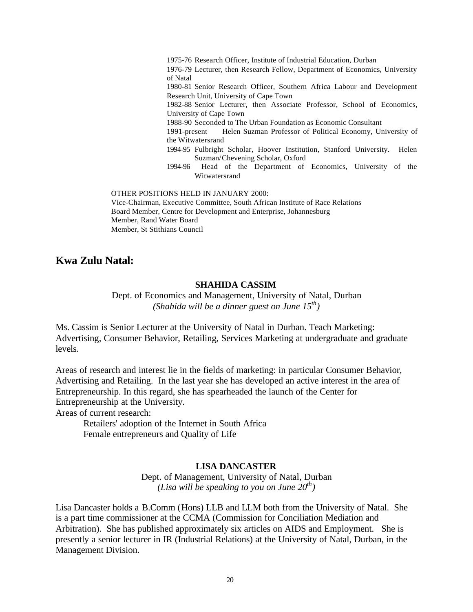1975-76 Research Officer, Institute of Industrial Education, Durban 1976-79 Lecturer, then Research Fellow, Department of Economics, University of Natal 1980-81 Senior Research Officer, Southern Africa Labour and Development Research Unit, University of Cape Town 1982-88 Senior Lecturer, then Associate Professor, School of Economics, University of Cape Town 1988-90 Seconded to The Urban Foundation as Economic Consultant 1991-present Helen Suzman Professor of Political Economy, University of the Witwatersrand 1994-95 Fulbright Scholar, Hoover Institution, Stanford University. Helen Suzman/Chevening Scholar, Oxford 1994-96 Head of the Department of Economics, University of the Witwatersrand

OTHER POSITIONS HELD IN JANUARY 2000:

Vice-Chairman, Executive Committee, South African Institute of Race Relations Board Member, Centre for Development and Enterprise, Johannesburg Member, Rand Water Board Member, St Stithians Council

**Kwa Zulu Natal:**

#### **SHAHIDA CASSIM**

Dept. of Economics and Management, University of Natal, Durban *(Shahida will be a dinner guest on June 15th)*

Ms. Cassim is Senior Lecturer at the University of Natal in Durban. Teach Marketing: Advertising, Consumer Behavior, Retailing, Services Marketing at undergraduate and graduate levels.

Areas of research and interest lie in the fields of marketing: in particular Consumer Behavior, Advertising and Retailing. In the last year she has developed an active interest in the area of Entrepreneurship. In this regard, she has spearheaded the launch of the Center for Entrepreneurship at the University.

Areas of current research:

Retailers' adoption of the Internet in South Africa Female entrepreneurs and Quality of Life

#### **LISA DANCASTER**

Dept. of Management, University of Natal, Durban *(Lisa will be speaking to you on June 20th)*

Lisa Dancaster holds a B.Comm (Hons) LLB and LLM both from the University of Natal. She is a part time commissioner at the CCMA (Commission for Conciliation Mediation and Arbitration). She has published approximately six articles on AIDS and Employment. She is presently a senior lecturer in IR (Industrial Relations) at the University of Natal, Durban, in the Management Division.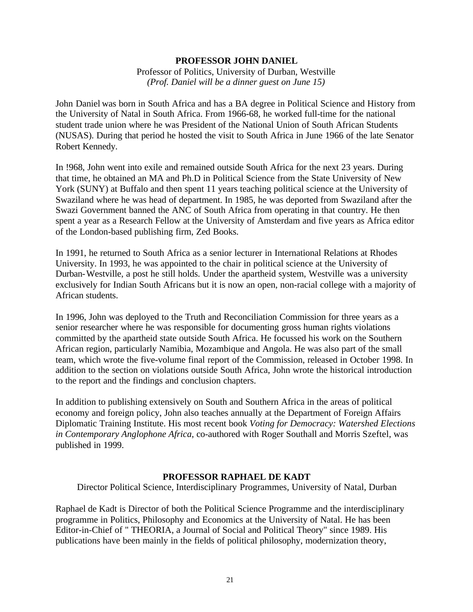#### **PROFESSOR JOHN DANIEL**

Professor of Politics, University of Durban, Westville *(Prof. Daniel will be a dinner guest on June 15)*

John Daniel was born in South Africa and has a BA degree in Political Science and History from the University of Natal in South Africa. From 1966-68, he worked full-time for the national student trade union where he was President of the National Union of South African Students (NUSAS). During that period he hosted the visit to South Africa in June 1966 of the late Senator Robert Kennedy.

In !968, John went into exile and remained outside South Africa for the next 23 years. During that time, he obtained an MA and Ph.D in Political Science from the State University of New York (SUNY) at Buffalo and then spent 11 years teaching political science at the University of Swaziland where he was head of department. In 1985, he was deported from Swaziland after the Swazi Government banned the ANC of South Africa from operating in that country. He then spent a year as a Research Fellow at the University of Amsterdam and five years as Africa editor of the London-based publishing firm, Zed Books.

In 1991, he returned to South Africa as a senior lecturer in International Relations at Rhodes University. In 1993, he was appointed to the chair in political science at the University of Durban-Westville, a post he still holds. Under the apartheid system, Westville was a university exclusively for Indian South Africans but it is now an open, non-racial college with a majority of African students.

In 1996, John was deployed to the Truth and Reconciliation Commission for three years as a senior researcher where he was responsible for documenting gross human rights violations committed by the apartheid state outside South Africa. He focussed his work on the Southern African region, particularly Namibia, Mozambique and Angola. He was also part of the small team, which wrote the five-volume final report of the Commission, released in October 1998. In addition to the section on violations outside South Africa, John wrote the historical introduction to the report and the findings and conclusion chapters.

In addition to publishing extensively on South and Southern Africa in the areas of political economy and foreign policy, John also teaches annually at the Department of Foreign Affairs Diplomatic Training Institute. His most recent book *Voting for Democracy: Watershed Elections in Contemporary Anglophone Africa*, co-authored with Roger Southall and Morris Szeftel, was published in 1999.

#### **PROFESSOR RAPHAEL DE KADT**

Director Political Science, Interdisciplinary Programmes, University of Natal, Durban

Raphael de Kadt is Director of both the Political Science Programme and the interdisciplinary programme in Politics, Philosophy and Economics at the University of Natal. He has been Editor-in-Chief of " THEORIA, a Journal of Social and Political Theory" since 1989. His publications have been mainly in the fields of political philosophy, modernization theory,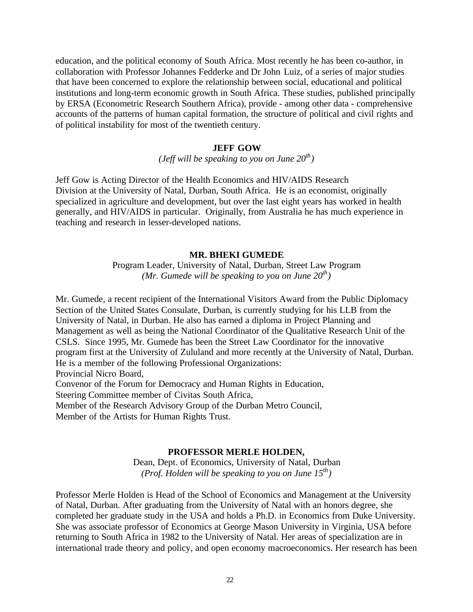education, and the political economy of South Africa. Most recently he has been co-author, in collaboration with Professor Johannes Fedderke and Dr John Luiz, of a series of major studies that have been concerned to explore the relationship between social, educational and political institutions and long-term economic growth in South Africa. These studies, published principally by ERSA (Econometric Research Southern Africa), provide - among other data - comprehensive accounts of the patterns of human capital formation, the structure of political and civil rights and of political instability for most of the twentieth century.

#### **JEFF GOW**

*(Jeff will be speaking to you on June 20th)*

Jeff Gow is Acting Director of the Health Economics and HIV/AIDS Research Division at the University of Natal, Durban, South Africa. He is an economist, originally specialized in agriculture and development, but over the last eight years has worked in health generally, and HIV/AIDS in particular. Originally, from Australia he has much experience in teaching and research in lesser-developed nations.

#### **MR. BHEKI GUMEDE**

Program Leader, University of Natal, Durban, Street Law Program *(Mr. Gumede will be speaking to you on June 20th)*

Mr. Gumede, a recent recipient of the International Visitors Award from the Public Diplomacy Section of the United States Consulate, Durban, is currently studying for his LLB from the University of Natal, in Durban. He also has earned a diploma in Project Planning and Management as well as being the National Coordinator of the Qualitative Research Unit of the CSLS. Since 1995, Mr. Gumede has been the Street Law Coordinator for the innovative program first at the University of Zululand and more recently at the University of Natal, Durban. He is a member of the following Professional Organizations: Provincial Nicro Board, Convenor of the Forum for Democracy and Human Rights in Education, Steering Committee member of Civitas South Africa, Member of the Research Advisory Group of the Durban Metro Council, Member of the Artists for Human Rights Trust.

#### **PROFESSOR MERLE HOLDEN,**

Dean, Dept. of Economics, University of Natal, Durban *(Prof. Holden will be speaking to you on June 15th)*

Professor Merle Holden is Head of the School of Economics and Management at the University of Natal, Durban. After graduating from the University of Natal with an honors degree, she completed her graduate study in the USA and holds a Ph.D. in Economics from Duke University. She was associate professor of Economics at George Mason University in Virginia, USA before returning to South Africa in 1982 to the University of Natal. Her areas of specialization are in international trade theory and policy, and open economy macroeconomics. Her research has been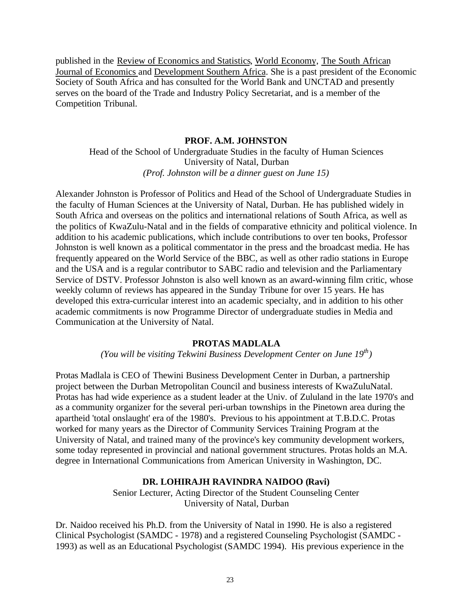published in the Review of Economics and Statistics, World Economy, The South African Journal of Economics and Development Southern Africa. She is a past president of the Economic Society of South Africa and has consulted for the World Bank and UNCTAD and presently serves on the board of the Trade and Industry Policy Secretariat, and is a member of the Competition Tribunal.

#### **PROF. A.M. JOHNSTON**

Head of the School of Undergraduate Studies in the faculty of Human Sciences University of Natal, Durban *(Prof. Johnston will be a dinner guest on June 15)*

Alexander Johnston is Professor of Politics and Head of the School of Undergraduate Studies in the faculty of Human Sciences at the University of Natal, Durban. He has published widely in South Africa and overseas on the politics and international relations of South Africa, as well as the politics of KwaZulu-Natal and in the fields of comparative ethnicity and political violence. In addition to his academic publications, which include contributions to over ten books, Professor Johnston is well known as a political commentator in the press and the broadcast media. He has frequently appeared on the World Service of the BBC, as well as other radio stations in Europe and the USA and is a regular contributor to SABC radio and television and the Parliamentary Service of DSTV. Professor Johnston is also well known as an award-winning film critic, whose weekly column of reviews has appeared in the Sunday Tribune for over 15 years. He has developed this extra-curricular interest into an academic specialty, and in addition to his other academic commitments is now Programme Director of undergraduate studies in Media and Communication at the University of Natal.

#### **PROTAS MADLALA**

*(You will be visiting Tekwini Business Development Center on June 19th)*

Protas Madlala is CEO of Thewini Business Development Center in Durban, a partnership project between the Durban Metropolitan Council and business interests of KwaZuluNatal. Protas has had wide experience as a student leader at the Univ. of Zululand in the late 1970's and as a community organizer for the several peri-urban townships in the Pinetown area during the apartheid 'total onslaught' era of the 1980's. Previous to his appointment at T.B.D.C. Protas worked for many years as the Director of Community Services Training Program at the University of Natal, and trained many of the province's key community development workers, some today represented in provincial and national government structures. Protas holds an M.A. degree in International Communications from American University in Washington, DC.

#### **DR. LOHIRAJH RAVINDRA NAIDOO (Ravi)**

Senior Lecturer, Acting Director of the Student Counseling Center University of Natal, Durban

Dr. Naidoo received his Ph.D. from the University of Natal in 1990. He is also a registered Clinical Psychologist (SAMDC - 1978) and a registered Counseling Psychologist (SAMDC - 1993) as well as an Educational Psychologist (SAMDC 1994). His previous experience in the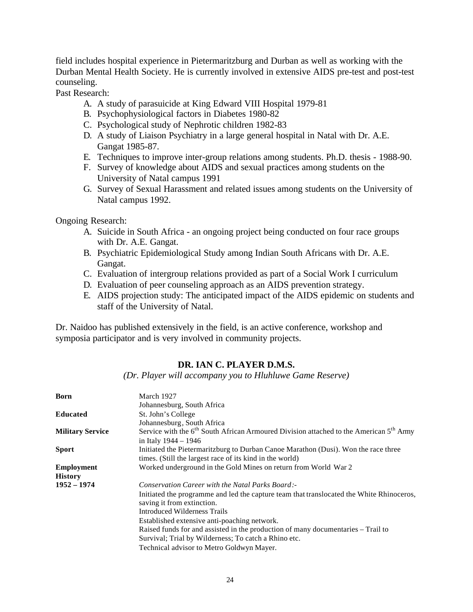field includes hospital experience in Pietermaritzburg and Durban as well as working with the Durban Mental Health Society. He is currently involved in extensive AIDS pre-test and post-test counseling.

Past Research:

- A. A study of parasuicide at King Edward VIII Hospital 1979-81
- B. Psychophysiological factors in Diabetes 1980-82
- C. Psychological study of Nephrotic children 1982-83
- D. A study of Liaison Psychiatry in a large general hospital in Natal with Dr. A.E. Gangat 1985-87.
- E. Techniques to improve inter-group relations among students. Ph.D. thesis 1988-90.
- F. Survey of knowledge about AIDS and sexual practices among students on the University of Natal campus 1991
- G. Survey of Sexual Harassment and related issues among students on the University of Natal campus 1992.

Ongoing Research:

- A. Suicide in South Africa an ongoing project being conducted on four race groups with Dr. A.E. Gangat.
- B. Psychiatric Epidemiological Study among Indian South Africans with Dr. A.E. Gangat.
- C. Evaluation of intergroup relations provided as part of a Social Work I curriculum
- D. Evaluation of peer counseling approach as an AIDS prevention strategy.
- E. AIDS projection study: The anticipated impact of the AIDS epidemic on students and staff of the University of Natal.

Dr. Naidoo has published extensively in the field, is an active conference, workshop and symposia participator and is very involved in community projects.

#### **DR. IAN C. PLAYER D.M.S.**

*(Dr. Player will accompany you to Hluhluwe Game Reserve)*

| <b>Born</b>             | March 1927                                                                                                             |
|-------------------------|------------------------------------------------------------------------------------------------------------------------|
|                         | Johannesburg, South Africa                                                                                             |
| <b>Educated</b>         | St. John's College                                                                                                     |
|                         | Johannesburg, South Africa                                                                                             |
| <b>Military Service</b> | Service with the 6 <sup>th</sup> South African Armoured Division attached to the American 5 <sup>th</sup> Army         |
|                         | in Italy $1944 - 1946$                                                                                                 |
| <b>Sport</b>            | Initiated the Pietermaritzburg to Durban Canoe Marathon (Dusi). Won the race three                                     |
|                         | times. (Still the largest race of its kind in the world)                                                               |
| <b>Employment</b>       | Worked underground in the Gold Mines on return from World War 2                                                        |
| <b>History</b>          |                                                                                                                        |
| $1952 - 1974$           | Conservation Career with the Natal Parks Board:-                                                                       |
|                         | Initiated the programme and led the capture team that translocated the White Rhinoceros,<br>saving it from extinction. |
|                         | Introduced Wilderness Trails                                                                                           |
|                         | Established extensive anti-poaching network.                                                                           |
|                         | Raised funds for and assisted in the production of many documentaries - Trail to                                       |
|                         | Survival; Trial by Wilderness; To catch a Rhino etc.                                                                   |
|                         | Technical advisor to Metro Goldwyn Mayer.                                                                              |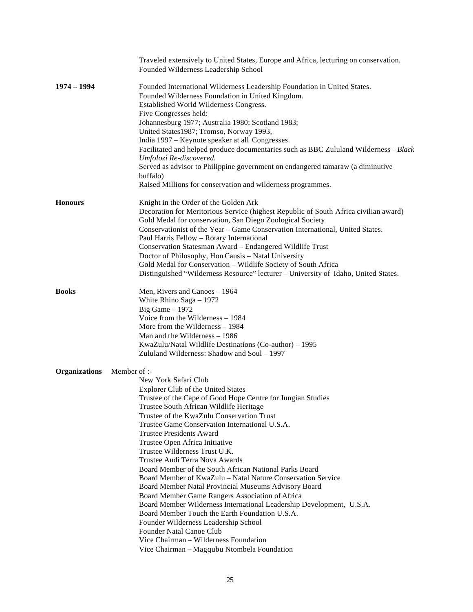|                      | Traveled extensively to United States, Europe and Africa, lecturing on conservation.<br>Founded Wilderness Leadership School                                                                                                                                                                                                                                                                                                                                                                                                                                                                                                                                                                                                                                                                                                                                                                                                                   |
|----------------------|------------------------------------------------------------------------------------------------------------------------------------------------------------------------------------------------------------------------------------------------------------------------------------------------------------------------------------------------------------------------------------------------------------------------------------------------------------------------------------------------------------------------------------------------------------------------------------------------------------------------------------------------------------------------------------------------------------------------------------------------------------------------------------------------------------------------------------------------------------------------------------------------------------------------------------------------|
| $1974 - 1994$        | Founded International Wilderness Leadership Foundation in United States.<br>Founded Wilderness Foundation in United Kingdom.<br>Established World Wilderness Congress.<br>Five Congresses held:<br>Johannesburg 1977; Australia 1980; Scotland 1983;<br>United States1987; Tromso, Norway 1993,<br>India 1997 – Keynote speaker at all Congresses.<br>Facilitated and helped produce documentaries such as BBC Zululand Wilderness - Black<br>Umfolozi Re-discovered.<br>Served as advisor to Philippine government on endangered tamaraw (a diminutive<br>buffalo)<br>Raised Millions for conservation and wilderness programmes.                                                                                                                                                                                                                                                                                                             |
| <b>Honours</b>       | Knight in the Order of the Golden Ark<br>Decoration for Meritorious Service (highest Republic of South Africa civilian award)<br>Gold Medal for conservation, San Diego Zoological Society<br>Conservationist of the Year - Game Conservation International, United States.<br>Paul Harris Fellow - Rotary International<br>Conservation Statesman Award - Endangered Wildlife Trust<br>Doctor of Philosophy, Hon Causis - Natal University<br>Gold Medal for Conservation - Wildlife Society of South Africa<br>Distinguished "Wilderness Resource" lecturer - University of Idaho, United States.                                                                                                                                                                                                                                                                                                                                            |
| <b>Books</b>         | Men, Rivers and Canoes - 1964<br>White Rhino Saga - 1972<br>Big Game $-1972$<br>Voice from the Wilderness - 1984<br>More from the Wilderness - 1984<br>Man and the Wilderness - 1986<br>KwaZulu/Natal Wildlife Destinations (Co-author) - 1995<br>Zululand Wilderness: Shadow and Soul - 1997                                                                                                                                                                                                                                                                                                                                                                                                                                                                                                                                                                                                                                                  |
| <b>Organizations</b> | Member of :-<br>New York Safari Club<br>Explorer Club of the United States<br>Trustee of the Cape of Good Hope Centre for Jungian Studies<br>Trustee South African Wildlife Heritage<br>Trustee of the KwaZulu Conservation Trust<br>Trustee Game Conservation International U.S.A.<br>Trustee Presidents Award<br>Trustee Open Africa Initiative<br>Trustee Wilderness Trust U.K.<br>Trustee Audi Terra Nova Awards<br>Board Member of the South African National Parks Board<br>Board Member of KwaZulu – Natal Nature Conservation Service<br>Board Member Natal Provincial Museums Advisory Board<br>Board Member Game Rangers Association of Africa<br>Board Member Wilderness International Leadership Development, U.S.A.<br>Board Member Touch the Earth Foundation U.S.A.<br>Founder Wilderness Leadership School<br>Founder Natal Canoe Club<br>Vice Chairman – Wilderness Foundation<br>Vice Chairman - Magqubu Ntombela Foundation |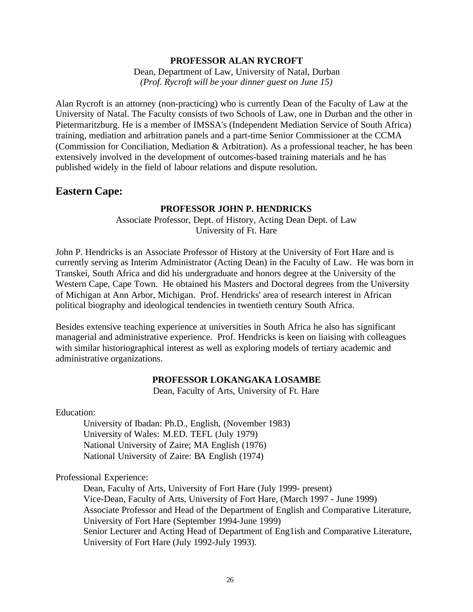#### **PROFESSOR ALAN RYCROFT**

Dean, Department of Law, University of Natal, Durban *(Prof. Rycroft will be your dinner guest on June 15)*

Alan Rycroft is an attorney (non-practicing) who is currently Dean of the Faculty of Law at the University of Natal. The Faculty consists of two Schools of Law, one in Durban and the other in Pietermaritzburg. He is a member of IMSSA's (Independent Mediation Service of South Africa) training, mediation and arbitration panels and a part-time Senior Commissioner at the CCMA (Commission for Conciliation, Mediation & Arbitration). As a professional teacher, he has been extensively involved in the development of outcomes-based training materials and he has published widely in the field of labour relations and dispute resolution.

#### **Eastern Cape:**

#### **PROFESSOR JOHN P. HENDRICKS**

Associate Professor, Dept. of History, Acting Dean Dept. of Law University of Ft. Hare

John P. Hendricks is an Associate Professor of History at the University of Fort Hare and is currently serving as Interim Administrator (Acting Dean) in the Faculty of Law. He was born in Transkei, South Africa and did his undergraduate and honors degree at the University of the Western Cape, Cape Town. He obtained his Masters and Doctoral degrees from the University of Michigan at Ann Arbor, Michigan. Prof. Hendricks' area of research interest in African political biography and ideological tendencies in twentieth century South Africa.

Besides extensive teaching experience at universities in South Africa he also has significant managerial and administrative experience. Prof. Hendricks is keen on liaising with colleagues with similar historiographical interest as well as exploring models of tertiary academic and administrative organizations.

#### **PROFESSOR LOKANGAKA LOSAMBE**

Dean, Faculty of Arts, University of Ft. Hare

Education:

University of Ibadan: Ph.D., English, (November 1983) University of Wales: M.ED. TEFL (July 1979) National University of Zaire; MA English (1976) National University of Zaire: BA English (1974)

Professional Experience:

Dean, Faculty of Arts, University of Fort Hare (July 1999- present) Vice-Dean, Faculty of Arts, University of Fort Hare, (March 1997 - June 1999) Associate Professor and Head of the Department of English and Comparative Literature, University of Fort Hare (September 1994-June 1999) Senior Lecturer and Acting Head of Department of Eng1ish and Comparative Literature, University of Fort Hare (July 1992*-*July 1993).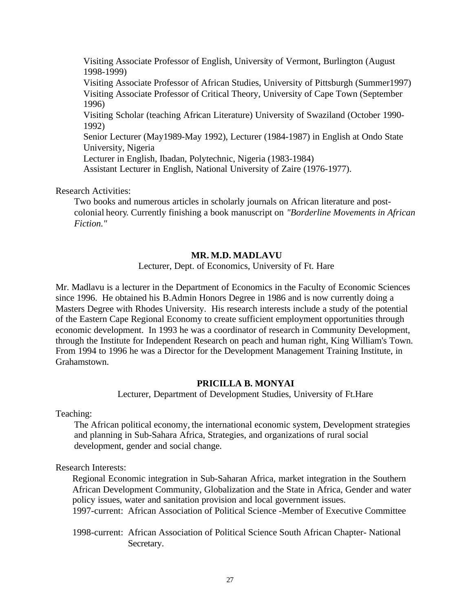Visiting Associate Professor of English, University of Vermont, Burlington (August 1998-1999)

Visiting Associate Professor of African Studies, University of Pittsburgh (Summer1997) Visiting Associate Professor of Critical Theory, University of Cape Town (September 1996)

Visiting Scholar (teaching African Literature) University of Swaziland (October 1990- 1992)

Senior Lecturer (May1989-May 1992), Lecturer (1984-1987) in English at Ondo State University, Nigeria

Lecturer in English, Ibadan, Polytechnic, Nigeria (1983-1984)

Assistant Lecturer in English, National University of Zaire (1976-1977).

Research Activities:

Two books and numerous articles in scholarly journals on African literature and postcolonial heory. Currently finishing a book manuscript on *"Borderline Movements in African Fiction."*

#### **MR. M.D. MADLAVU**

Lecturer, Dept. of Economics, University of Ft. Hare

Mr. Madlavu is a lecturer in the Department of Economics in the Faculty of Economic Sciences since 1996. He obtained his B.Admin Honors Degree in 1986 and is now currently doing a Masters Degree with Rhodes University. His research interests include a study of the potential of the Eastern Cape Regional Economy to create sufficient employment opportunities through economic development. In 1993 he was a coordinator of research in Community Development, through the Institute for Independent Research on peach and human right, King William's Town. From 1994 to 1996 he was a Director for the Development Management Training Institute, in Grahamstown.

#### **PRICILLA B. MONYAI**

Lecturer, Department of Development Studies, University of Ft.Hare

Teaching:

The African political economy, the international economic system, Development strategies and planning in Sub-Sahara Africa, Strategies, and organizations of rural social development, gender and social change.

Research Interests:

Regional Economic integration in Sub-Saharan Africa, market integration in the Southern African Development Community, Globalization and the State in Africa, Gender and water policy issues, water and sanitation provision and local government issues.

1997-current: African Association of Political Science -Member of Executive Committee

1998-current: African Association of Political Science South African Chapter- National Secretary.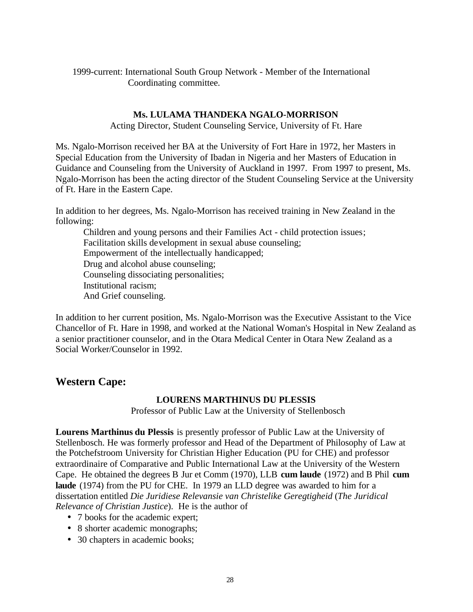1999-current: International South Group Network - Member of the International Coordinating committee.

#### **Ms. LULAMA THANDEKA NGALO-MORRISON**

Acting Director, Student Counseling Service, University of Ft. Hare

Ms. Ngalo-Morrison received her BA at the University of Fort Hare in 1972, her Masters in Special Education from the University of Ibadan in Nigeria and her Masters of Education in Guidance and Counseling from the University of Auckland in 1997. From 1997 to present, Ms. Ngalo-Morrison has been the acting director of the Student Counseling Service at the University of Ft. Hare in the Eastern Cape.

In addition to her degrees, Ms. Ngalo-Morrison has received training in New Zealand in the following:

Children and young persons and their Families Act - child protection issues; Facilitation skills development in sexual abuse counseling; Empowerment of the intellectually handicapped; Drug and alcohol abuse counseling; Counseling dissociating personalities; Institutional racism; And Grief counseling.

In addition to her current position, Ms. Ngalo-Morrison was the Executive Assistant to the Vice Chancellor of Ft. Hare in 1998, and worked at the National Woman's Hospital in New Zealand as a senior practitioner counselor, and in the Otara Medical Center in Otara New Zealand as a Social Worker/Counselor in 1992.

### **Western Cape:**

#### **LOURENS MARTHINUS DU PLESSIS**

Professor of Public Law at the University of Stellenbosch

**Lourens Marthinus du Plessis** is presently professor of Public Law at the University of Stellenbosch. He was formerly professor and Head of the Department of Philosophy of Law at the Potchefstroom University for Christian Higher Education (PU for CHE) and professor extraordinaire of Comparative and Public International Law at the University of the Western Cape. He obtained the degrees B Jur et Comm (1970), LLB **cum laude** (1972) and B Phil **cum laude** (1974) from the PU for CHE. In 1979 an LLD degree was awarded to him for a dissertation entitled *Die Juridiese Relevansie van Christelike Geregtigheid* (*The Juridical Relevance of Christian Justice*). He is the author of

- 7 books for the academic expert;
- 8 shorter academic monographs;
- 30 chapters in academic books;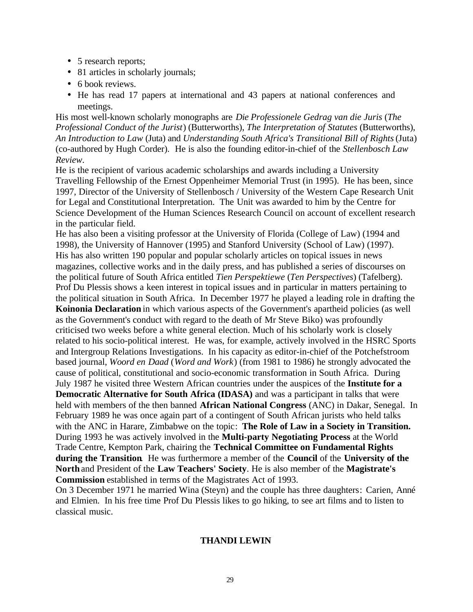- 5 research reports;
- 81 articles in scholarly journals;
- 6 book reviews.
- He has read 17 papers at international and 43 papers at national conferences and meetings.

His most well-known scholarly monographs are *Die Professionele Gedrag van die Juris* (*The Professional Conduct of the Jurist*) (Butterworths), *The Interpretation of Statutes* (Butterworths), *An Introduction to Law* (Juta) and *Understanding South Africa's Transitional Bill of Rights* (Juta) (co-authored by Hugh Corder). He is also the founding editor-in-chief of the *Stellenbosch Law Review*.

He is the recipient of various academic scholarships and awards including a University Travelling Fellowship of the Ernest Oppenheimer Memorial Trust (in 1995). He has been, since 1997, Director of the University of Stellenbosch / University of the Western Cape Research Unit for Legal and Constitutional Interpretation. The Unit was awarded to him by the Centre for Science Development of the Human Sciences Research Council on account of excellent research in the particular field.

He has also been a visiting professor at the University of Florida (College of Law) (1994 and 1998), the University of Hannover (1995) and Stanford University (School of Law) (1997). His has also written 190 popular and popular scholarly articles on topical issues in news magazines, collective works and in the daily press, and has published a series of discourses on the political future of South Africa entitled *Tien Perspektiewe* (*Ten Perspectives*) (Tafelberg). Prof Du Plessis shows a keen interest in topical issues and in particular in matters pertaining to the political situation in South Africa. In December 1977 he played a leading role in drafting the **Koinonia Declaration** in which various aspects of the Government's apartheid policies (as well as the Government's conduct with regard to the death of Mr Steve Biko) was profoundly criticised two weeks before a white general election. Much of his scholarly work is closely related to his socio-political interest. He was, for example, actively involved in the HSRC Sports and Intergroup Relations Investigations. In his capacity as editor-in-chief of the Potchefstroom based journal, *Woord en Daad* (*Word and Work*) (from 1981 to 1986) he strongly advocated the cause of political, constitutional and socio-economic transformation in South Africa. During July 1987 he visited three Western African countries under the auspices of the **Institute for a Democratic Alternative for South Africa (IDASA)** and was a participant in talks that were held with members of the then banned **African National Congress** (ANC) in Dakar, Senegal. In February 1989 he was once again part of a contingent of South African jurists who held talks with the ANC in Harare, Zimbabwe on the topic: **The Role of Law in a Society in Transition.** During 1993 he was actively involved in the **Multi-party Negotiating Process** at the World Trade Centre, Kempton Park, chairing the **Technical Committee on Fundamental Rights during the Transition**. He was furthermore a member of the **Council** of the **University of the North** and President of the **Law Teachers' Society**. He is also member of the **Magistrate's Commission** established in terms of the Magistrates Act of 1993.

On 3 December 1971 he married Wina (Steyn) and the couple has three daughters: Carien, Anné and Elmien. In his free time Prof Du Plessis likes to go hiking, to see art films and to listen to classical music.

#### **THANDI LEWIN**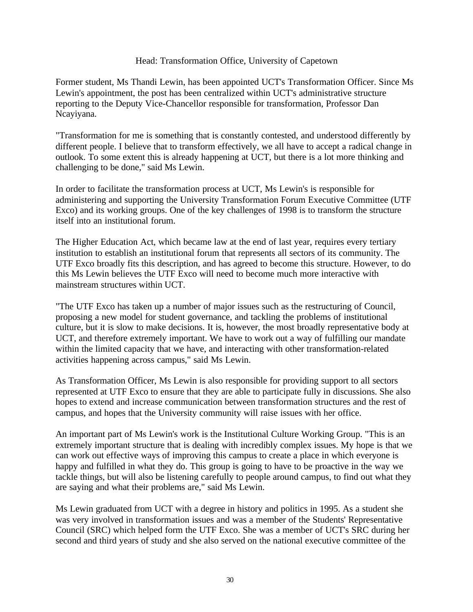#### Head: Transformation Office, University of Capetown

Former student, Ms Thandi Lewin, has been appointed UCT's Transformation Officer. Since Ms Lewin's appointment, the post has been centralized within UCT's administrative structure reporting to the Deputy Vice-Chancellor responsible for transformation, Professor Dan Ncayiyana.

"Transformation for me is something that is constantly contested, and understood differently by different people. I believe that to transform effectively, we all have to accept a radical change in outlook. To some extent this is already happening at UCT, but there is a lot more thinking and challenging to be done," said Ms Lewin.

In order to facilitate the transformation process at UCT, Ms Lewin's is responsible for administering and supporting the University Transformation Forum Executive Committee (UTF Exco) and its working groups. One of the key challenges of 1998 is to transform the structure itself into an institutional forum.

The Higher Education Act, which became law at the end of last year, requires every tertiary institution to establish an institutional forum that represents all sectors of its community. The UTF Exco broadly fits this description, and has agreed to become this structure. However, to do this Ms Lewin believes the UTF Exco will need to become much more interactive with mainstream structures within UCT.

"The UTF Exco has taken up a number of major issues such as the restructuring of Council, proposing a new model for student governance, and tackling the problems of institutional culture, but it is slow to make decisions. It is, however, the most broadly representative body at UCT, and therefore extremely important. We have to work out a way of fulfilling our mandate within the limited capacity that we have, and interacting with other transformation-related activities happening across campus," said Ms Lewin.

As Transformation Officer, Ms Lewin is also responsible for providing support to all sectors represented at UTF Exco to ensure that they are able to participate fully in discussions. She also hopes to extend and increase communication between transformation structures and the rest of campus, and hopes that the University community will raise issues with her office.

An important part of Ms Lewin's work is the Institutional Culture Working Group. "This is an extremely important structure that is dealing with incredibly complex issues. My hope is that we can work out effective ways of improving this campus to create a place in which everyone is happy and fulfilled in what they do. This group is going to have to be proactive in the way we tackle things, but will also be listening carefully to people around campus, to find out what they are saying and what their problems are," said Ms Lewin.

Ms Lewin graduated from UCT with a degree in history and politics in 1995. As a student she was very involved in transformation issues and was a member of the Students' Representative Council (SRC) which helped form the UTF Exco. She was a member of UCT's SRC during her second and third years of study and she also served on the national executive committee of the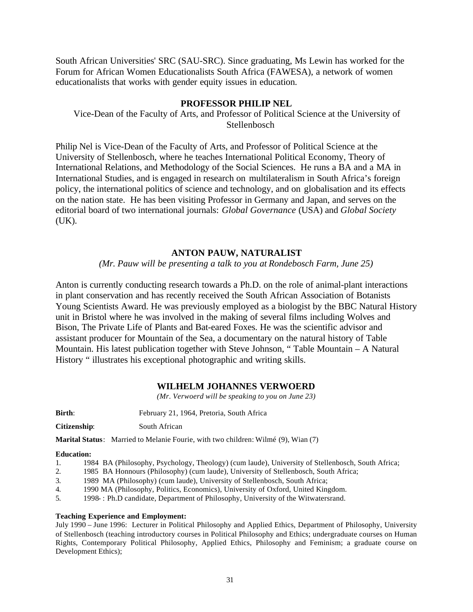South African Universities' SRC (SAU-SRC). Since graduating, Ms Lewin has worked for the Forum for African Women Educationalists South Africa (FAWESA), a network of women educationalists that works with gender equity issues in education.

#### **PROFESSOR PHILIP NEL**

Vice-Dean of the Faculty of Arts, and Professor of Political Science at the University of Stellenbosch

Philip Nel is Vice-Dean of the Faculty of Arts, and Professor of Political Science at the University of Stellenbosch, where he teaches International Political Economy, Theory of International Relations, and Methodology of the Social Sciences. He runs a BA and a MA in International Studies, and is engaged in research on multilateralism in South Africa's foreign policy, the international politics of science and technology, and on globalisation and its effects on the nation state. He has been visiting Professor in Germany and Japan, and serves on the editorial board of two international journals: *Global Governance* (USA) and *Global Society* (UK).

#### **ANTON PAUW, NATURALIST**

*(Mr. Pauw will be presenting a talk to you at Rondebosch Farm, June 25)*

Anton is currently conducting research towards a Ph.D. on the role of animal-plant interactions in plant conservation and has recently received the South African Association of Botanists Young Scientists Award. He was previously employed as a biologist by the BBC Natural History unit in Bristol where he was involved in the making of several films including Wolves and Bison, The Private Life of Plants and Bat-eared Foxes. He was the scientific advisor and assistant producer for Mountain of the Sea, a documentary on the natural history of Table Mountain. His latest publication together with Steve Johnson, " Table Mountain – A Natural History " illustrates his exceptional photographic and writing skills.

#### **WILHELM JOHANNES VERWOERD**

*(Mr. Verwoerd will be speaking to you on June 23)*

Birth: February 21, 1964, Pretoria, South Africa

**Citizenship**: South African

**Marital Status**: Married to Melanie Fourie, with two children: Wilmé (9), Wian (7)

#### **Education:**

- 1. 1984 BA (Philosophy, Psychology, Theology) (cum laude), University of Stellenbosch, South Africa;
- 2. 1985 BA Honnours (Philosophy) (cum laude), University of Stellenbosch, South Africa;
- 3. 1989 MA (Philosophy) (cum laude), University of Stellenbosch, South Africa;
- 4. 1990 MA (Philosophy, Politics, Economics), University of Oxford, United Kingdom.
- 5. 1998- : Ph.D candidate, Department of Philosophy, University of the Witwatersrand.

#### **Teaching Experience and Employment:**

July 1990 – June 1996: Lecturer in Political Philosophy and Applied Ethics, Department of Philosophy, University of Stellenbosch (teaching introductory courses in Political Philosophy and Ethics; undergraduate courses on Human Rights, Contemporary Political Philosophy, Applied Ethics, Philosophy and Feminism; a graduate course on Development Ethics);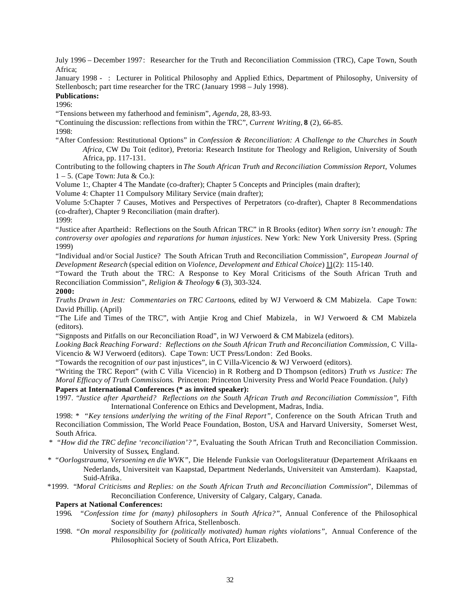July 1996 – December 1997: Researcher for the Truth and Reconciliation Commission (TRC), Cape Town, South Africa;

January 1998 - : Lecturer in Political Philosophy and Applied Ethics, Department of Philosophy, University of Stellenbosch; part time researcher for the TRC (January 1998 – July 1998).

#### **Publications:**

1996:

"Tensions between my fatherhood and feminism", *Agenda*, 28, 83-93.

"Continuing the discussion: reflections from within the TRC", *Current Writing*, **8** (2), 66-85.

1998:

"After Confession: Restitutional Options" in *Confession & Reconciliation: A Challenge to the Churches in South Africa*, CW Du Toit (editor), Pretoria: Research Institute for Theology and Religion, University of South Africa, pp. 117-131.

Contributing to the following chapters in *The South African Truth and Reconciliation Commission Report*, Volumes  $1 - 5$ . (Cape Town: Juta & Co.):

Volume 1:, Chapter 4 The Mandate (co-drafter); Chapter 5 Concepts and Principles (main drafter);

Volume 4: Chapter 11 Compulsory Military Service (main drafter);

Volume 5:Chapter 7 Causes, Motives and Perspectives of Perpetrators (co-drafter), Chapter 8 Recommendations (co-drafter), Chapter 9 Reconciliation (main drafter).

1999:

"Justice after Apartheid: Reflections on the South African TRC" in R Brooks (editor) *When sorry isn't enough: The controversy over apologies and reparations for human injustices*. New York: New York University Press. (Spring 1999)

"Individual and/or Social Justice? The South African Truth and Reconciliation Commission", *European Journal of Development Research* (special edition on *Violence, Development and Ethical Choice*) 11(2): 115-140.

"Toward the Truth about the TRC: A Response to Key Moral Criticisms of the South African Truth and Reconciliation Commission", *Religion & Theology* **6** (3), 303-324.

**2000:**

*Truths Drawn in Jest: Commentaries on TRC Cartoons*, edited by WJ Verwoerd & CM Mabizela. Cape Town: David Phillip. (April)

"The Life and Times of the TRC", with Antjie Krog and Chief Mabizela, in WJ Verwoerd & CM Mabizela (editors).

"Signposts and Pitfalls on our Reconciliation Road", in WJ Verwoerd & CM Mabizela (editors).

*Looking Back Reaching Forward: Reflections on the South African Truth and Reconciliation Commission,* C Villa-Vicencio & WJ Verwoerd (editors). Cape Town: UCT Press/London: Zed Books.

"Towards the recognition of *our* past injustices", in C Villa-Vicencio & WJ Verwoerd (editors).

"Writing the TRC Report" (with C Villa Vicencio) in R Rotberg and D Thompson (editors) *Truth vs Justice: The Moral Efficacy of Truth Commissions*. Princeton: Princeton University Press and World Peace Foundation. (July)

**Papers at International Conferences (\* as invited speaker):**

1997. "*Justice after Apartheid? Reflections on the South African Truth and Reconciliation Commission"*, Fifth International Conference on Ethics and Development, Madras, India.

1998: *\* "Key tensions underlying the writing of the Final Report",* Conference on the South African Truth and Reconciliation Commission, The World Peace Foundation, Boston, USA and Harvard University, Somerset West, South Africa.

- *\* "How did the TRC define 'reconciliation'?",* Evaluating the South African Truth and Reconciliation Commission. University of Sussex, England.
- *\* "Oorlogstrauma, Versoening en die WVK",* Die Helende Funksie van Oorlogsliteratuur (Departement Afrikaans en Nederlands, Universiteit van Kaapstad, Department Nederlands, Universiteit van Amsterdam). Kaapstad, Suid-Afrika.

\*1999. "*Moral Criticisms and Replies: on the South African Truth and Reconciliation Commission*", Dilemmas of Reconciliation Conference, University of Calgary, Calgary, Canada.

#### **Papers at National Conferences:**

- 1996*. "Confession time for (many) philosophers in South Africa?"*, Annual Conference of the Philosophical Society of Southern Africa, Stellenbosch.
- 1998. *"On moral responsibility for (politically motivated) human rights violations",* Annual Conference of the Philosophical Society of South Africa, Port Elizabeth.